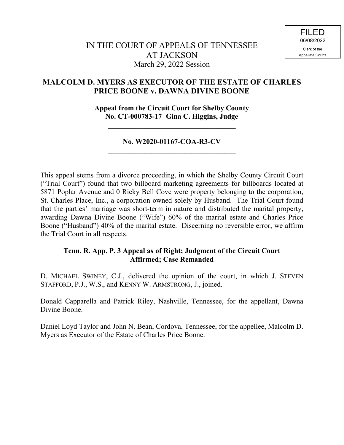# **MALCOLM D. MYERS AS EXECUTOR OF THE ESTATE OF CHARLES PRICE BOONE v. DAWNA DIVINE BOONE**

**Appeal from the Circuit Court for Shelby County No. CT-000783-17 Gina C. Higgins, Judge**

**\_\_\_\_\_\_\_\_\_\_\_\_\_\_\_\_\_\_\_\_\_\_\_\_\_\_\_\_\_\_\_\_\_\_\_**

## **No. W2020-01167-COA-R3-CV \_\_\_\_\_\_\_\_\_\_\_\_\_\_\_\_\_\_\_\_\_\_\_\_\_\_\_\_\_\_\_\_\_\_\_**

This appeal stems from a divorce proceeding, in which the Shelby County Circuit Court ("Trial Court") found that two billboard marketing agreements for billboards located at 5871 Poplar Avenue and 0 Ricky Bell Cove were property belonging to the corporation, St. Charles Place, Inc., a corporation owned solely by Husband. The Trial Court found that the parties' marriage was short-term in nature and distributed the marital property, awarding Dawna Divine Boone ("Wife") 60% of the marital estate and Charles Price Boone ("Husband") 40% of the marital estate. Discerning no reversible error, we affirm the Trial Court in all respects.

## **Tenn. R. App. P. 3 Appeal as of Right; Judgment of the Circuit Court Affirmed; Case Remanded**

D. MICHAEL SWINEY, C.J., delivered the opinion of the court, in which J. STEVEN STAFFORD, P.J., W.S., and KENNY W. ARMSTRONG, J., joined.

Donald Capparella and Patrick Riley, Nashville, Tennessee, for the appellant, Dawna Divine Boone.

Daniel Loyd Taylor and John N. Bean, Cordova, Tennessee, for the appellee, Malcolm D. Myers as Executor of the Estate of Charles Price Boone.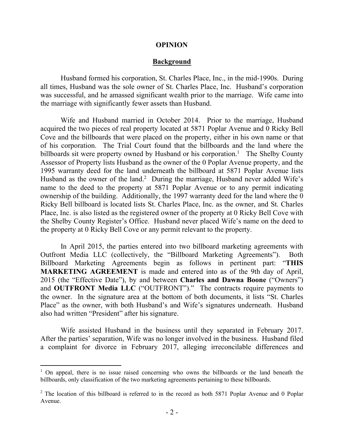#### **OPINION**

#### **Background**

Husband formed his corporation, St. Charles Place, Inc., in the mid-1990s. During all times, Husband was the sole owner of St. Charles Place, Inc. Husband's corporation was successful, and he amassed significant wealth prior to the marriage. Wife came into the marriage with significantly fewer assets than Husband.

Wife and Husband married in October 2014. Prior to the marriage, Husband acquired the two pieces of real property located at 5871 Poplar Avenue and 0 Ricky Bell Cove and the billboards that were placed on the property, either in his own name or that of his corporation. The Trial Court found that the billboards and the land where the billboards sit were property owned by Husband or his corporation.<sup>1</sup> The Shelby County Assessor of Property lists Husband as the owner of the 0 Poplar Avenue property, and the 1995 warranty deed for the land underneath the billboard at 5871 Poplar Avenue lists Husband as the owner of the land.<sup>2</sup> During the marriage, Husband never added Wife's name to the deed to the property at 5871 Poplar Avenue or to any permit indicating ownership of the building. Additionally, the 1997 warranty deed for the land where the 0 Ricky Bell billboard is located lists St. Charles Place, Inc. as the owner, and St. Charles Place, Inc. is also listed as the registered owner of the property at 0 Ricky Bell Cove with the Shelby County Register's Office. Husband never placed Wife's name on the deed to the property at 0 Ricky Bell Cove or any permit relevant to the property.

In April 2015, the parties entered into two billboard marketing agreements with Outfront Media LLC (collectively, the "Billboard Marketing Agreements"). Both Billboard Marketing Agreements begin as follows in pertinent part: "**THIS MARKETING AGREEMENT** is made and entered into as of the 9th day of April, 2015 (the "Effective Date"), by and between **Charles and Dawna Boone** ("Owners") and **OUTFRONT Media LLC** ("OUTFRONT")." The contracts require payments to the owner. In the signature area at the bottom of both documents, it lists "St. Charles Place" as the owner, with both Husband's and Wife's signatures underneath. Husband also had written "President" after his signature.

Wife assisted Husband in the business until they separated in February 2017. After the parties' separation, Wife was no longer involved in the business. Husband filed a complaint for divorce in February 2017, alleging irreconcilable differences and

 $\overline{a}$ 

<sup>&</sup>lt;sup>1</sup> On appeal, there is no issue raised concerning who owns the billboards or the land beneath the billboards, only classification of the two marketing agreements pertaining to these billboards.

 $2$  The location of this billboard is referred to in the record as both 5871 Poplar Avenue and 0 Poplar Avenue.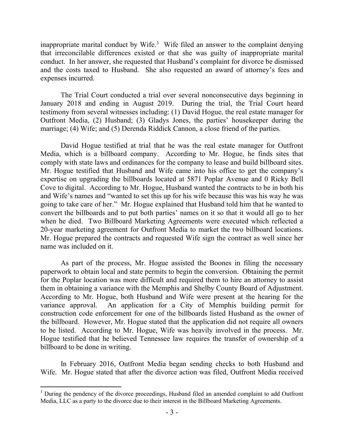inappropriate marital conduct by Wife.<sup>3</sup> Wife filed an answer to the complaint denying that irreconcilable differences existed or that she was guilty of inappropriate marital conduct. In her answer, she requested that Husband's complaint for divorce be dismissed and the costs taxed to Husband. She also requested an award of attorney's fees and expenses incurred.

The Trial Court conducted a trial over several nonconsecutive days beginning in January 2018 and ending in August 2019. During the trial, the Trial Court heard testimony from several witnesses including: (1) David Hogue, the real estate manager for Outfront Media, (2) Husband; (3) Gladys Jones, the parties' housekeeper during the marriage; (4) Wife; and (5) Derenda Riddick Cannon, a close friend of the parties.

David Hogue testified at trial that he was the real estate manager for Outfront Media, which is a billboard company. According to Mr. Hogue, he finds sites that comply with state laws and ordinances for the company to lease and build billboard sites. Mr. Hogue testified that Husband and Wife came into his office to get the company's expertise on upgrading the billboards located at 5871 Poplar Avenue and 0 Ricky Bell Cove to digital. According to Mr. Hogue, Husband wanted the contracts to be in both his and Wife's names and "wanted to set this up for his wife because this was his way he was going to take care of her." Mr. Hogue explained that Husband told him that he wanted to convert the billboards and to put both parties' names on it so that it would all go to her when he died. Two Billboard Marketing Agreements were executed which reflected a 20-year marketing agreement for Outfront Media to market the two billboard locations. Mr. Hogue prepared the contracts and requested Wife sign the contract as well since her name was included on it.

As part of the process, Mr. Hogue assisted the Boones in filing the necessary paperwork to obtain local and state permits to begin the conversion. Obtaining the permit for the Poplar location was more difficult and required them to hire an attorney to assist them in obtaining a variance with the Memphis and Shelby County Board of Adjustment. According to Mr. Hogue, both Husband and Wife were present at the hearing for the variance approval. An application for a City of Memphis building permit for construction code enforcement for one of the billboards listed Husband as the owner of the billboard. However, Mr. Hogue stated that the application did not require all owners to be listed. According to Mr. Hogue, Wife was heavily involved in the process. Mr. Hogue testified that he believed Tennessee law requires the transfer of ownership of a billboard to be done in writing.

In February 2016, Outfront Media began sending checks to both Husband and Wife. Mr. Hogue stated that after the divorce action was filed, Outfront Media received

 $\overline{a}$ 

<sup>&</sup>lt;sup>3</sup> During the pendency of the divorce proceedings, Husband filed an amended complaint to add Outfront Media, LLC as a party to the divorce due to their interest in the Billboard Marketing Agreements.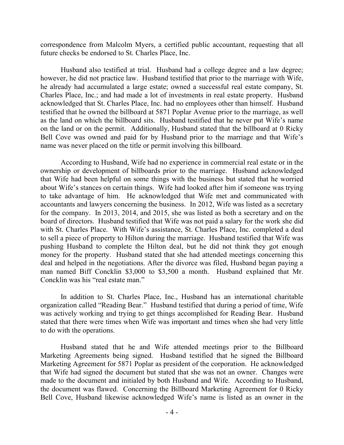correspondence from Malcolm Myers, a certified public accountant, requesting that all future checks be endorsed to St. Charles Place, Inc.

Husband also testified at trial. Husband had a college degree and a law degree; however, he did not practice law. Husband testified that prior to the marriage with Wife, he already had accumulated a large estate; owned a successful real estate company, St. Charles Place, Inc.; and had made a lot of investments in real estate property. Husband acknowledged that St. Charles Place, Inc. had no employees other than himself. Husband testified that he owned the billboard at 5871 Poplar Avenue prior to the marriage, as well as the land on which the billboard sits. Husband testified that he never put Wife's name on the land or on the permit. Additionally, Husband stated that the billboard at 0 Ricky Bell Cove was owned and paid for by Husband prior to the marriage and that Wife's name was never placed on the title or permit involving this billboard.

According to Husband, Wife had no experience in commercial real estate or in the ownership or development of billboards prior to the marriage. Husband acknowledged that Wife had been helpful on some things with the business but stated that he worried about Wife's stances on certain things. Wife had looked after him if someone was trying to take advantage of him. He acknowledged that Wife met and communicated with accountants and lawyers concerning the business. In 2012, Wife was listed as a secretary for the company. In 2013, 2014, and 2015, she was listed as both a secretary and on the board of directors. Husband testified that Wife was not paid a salary for the work she did with St. Charles Place. With Wife's assistance, St. Charles Place, Inc. completed a deal to sell a piece of property to Hilton during the marriage. Husband testified that Wife was pushing Husband to complete the Hilton deal, but he did not think they got enough money for the property. Husband stated that she had attended meetings concerning this deal and helped in the negotiations. After the divorce was filed, Husband began paying a man named Biff Concklin \$3,000 to \$3,500 a month. Husband explained that Mr. Concklin was his "real estate man."

In addition to St. Charles Place, Inc., Husband has an international charitable organization called "Reading Bear." Husband testified that during a period of time, Wife was actively working and trying to get things accomplished for Reading Bear. Husband stated that there were times when Wife was important and times when she had very little to do with the operations.

Husband stated that he and Wife attended meetings prior to the Billboard Marketing Agreements being signed. Husband testified that he signed the Billboard Marketing Agreement for 5871 Poplar as president of the corporation. He acknowledged that Wife had signed the document but stated that she was not an owner. Changes were made to the document and initialed by both Husband and Wife. According to Husband, the document was flawed. Concerning the Billboard Marketing Agreement for 0 Ricky Bell Cove, Husband likewise acknowledged Wife's name is listed as an owner in the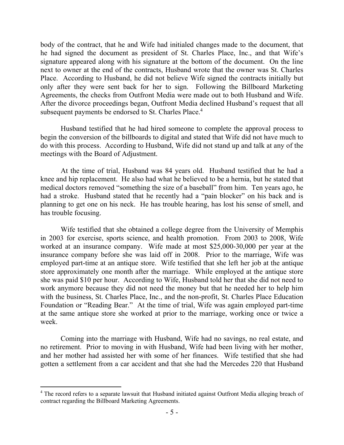body of the contract, that he and Wife had initialed changes made to the document, that he had signed the document as president of St. Charles Place, Inc., and that Wife's signature appeared along with his signature at the bottom of the document. On the line next to owner at the end of the contracts, Husband wrote that the owner was St. Charles Place. According to Husband, he did not believe Wife signed the contracts initially but only after they were sent back for her to sign. Following the Billboard Marketing Agreements, the checks from Outfront Media were made out to both Husband and Wife. After the divorce proceedings began, Outfront Media declined Husband's request that all subsequent payments be endorsed to St. Charles Place.<sup>4</sup>

Husband testified that he had hired someone to complete the approval process to begin the conversion of the billboards to digital and stated that Wife did not have much to do with this process. According to Husband, Wife did not stand up and talk at any of the meetings with the Board of Adjustment.

At the time of trial, Husband was 84 years old. Husband testified that he had a knee and hip replacement. He also had what he believed to be a hernia, but he stated that medical doctors removed "something the size of a baseball" from him. Ten years ago, he had a stroke. Husband stated that he recently had a "pain blocker" on his back and is planning to get one on his neck. He has trouble hearing, has lost his sense of smell, and has trouble focusing.

Wife testified that she obtained a college degree from the University of Memphis in 2003 for exercise, sports science, and health promotion. From 2003 to 2008, Wife worked at an insurance company. Wife made at most \$25,000-30,000 per year at the insurance company before she was laid off in 2008. Prior to the marriage, Wife was employed part-time at an antique store. Wife testified that she left her job at the antique store approximately one month after the marriage. While employed at the antique store she was paid \$10 per hour. According to Wife, Husband told her that she did not need to work anymore because they did not need the money but that he needed her to help him with the business, St. Charles Place, Inc., and the non-profit, St. Charles Place Education Foundation or "Reading Bear." At the time of trial, Wife was again employed part-time at the same antique store she worked at prior to the marriage, working once or twice a week.

Coming into the marriage with Husband, Wife had no savings, no real estate, and no retirement. Prior to moving in with Husband, Wife had been living with her mother, and her mother had assisted her with some of her finances. Wife testified that she had gotten a settlement from a car accident and that she had the Mercedes 220 that Husband

 $\overline{a}$ 

<sup>&</sup>lt;sup>4</sup> The record refers to a separate lawsuit that Husband initiated against Outfront Media alleging breach of contract regarding the Billboard Marketing Agreements.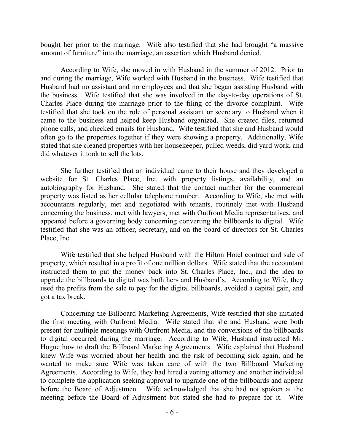bought her prior to the marriage. Wife also testified that she had brought "a massive amount of furniture" into the marriage, an assertion which Husband denied.

According to Wife, she moved in with Husband in the summer of 2012. Prior to and during the marriage, Wife worked with Husband in the business. Wife testified that Husband had no assistant and no employees and that she began assisting Husband with the business. Wife testified that she was involved in the day-to-day operations of St. Charles Place during the marriage prior to the filing of the divorce complaint. Wife testified that she took on the role of personal assistant or secretary to Husband when it came to the business and helped keep Husband organized. She created files, returned phone calls, and checked emails for Husband. Wife testified that she and Husband would often go to the properties together if they were showing a property. Additionally, Wife stated that she cleaned properties with her housekeeper, pulled weeds, did yard work, and did whatever it took to sell the lots.

She further testified that an individual came to their house and they developed a website for St. Charles Place, Inc. with property listings, availability, and an autobiography for Husband. She stated that the contact number for the commercial property was listed as her cellular telephone number. According to Wife, she met with accountants regularly, met and negotiated with tenants, routinely met with Husband concerning the business, met with lawyers, met with Outfront Media representatives, and appeared before a governing body concerning converting the billboards to digital. Wife testified that she was an officer, secretary, and on the board of directors for St. Charles Place, Inc.

Wife testified that she helped Husband with the Hilton Hotel contract and sale of property, which resulted in a profit of one million dollars. Wife stated that the accountant instructed them to put the money back into St. Charles Place, Inc., and the idea to upgrade the billboards to digital was both hers and Husband's. According to Wife, they used the profits from the sale to pay for the digital billboards, avoided a capital gain, and got a tax break.

Concerning the Billboard Marketing Agreements, Wife testified that she initiated the first meeting with Outfront Media. Wife stated that she and Husband were both present for multiple meetings with Outfront Media, and the conversions of the billboards to digital occurred during the marriage. According to Wife, Husband instructed Mr. Hogue how to draft the Billboard Marketing Agreements. Wife explained that Husband knew Wife was worried about her health and the risk of becoming sick again, and he wanted to make sure Wife was taken care of with the two Billboard Marketing Agreements. According to Wife, they had hired a zoning attorney and another individual to complete the application seeking approval to upgrade one of the billboards and appear before the Board of Adjustment. Wife acknowledged that she had not spoken at the meeting before the Board of Adjustment but stated she had to prepare for it. Wife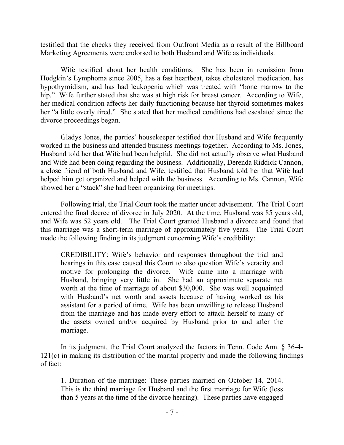testified that the checks they received from Outfront Media as a result of the Billboard Marketing Agreements were endorsed to both Husband and Wife as individuals.

Wife testified about her health conditions. She has been in remission from Hodgkin's Lymphoma since 2005, has a fast heartbeat, takes cholesterol medication, has hypothyroidism, and has had leukopenia which was treated with "bone marrow to the hip." Wife further stated that she was at high risk for breast cancer. According to Wife, her medical condition affects her daily functioning because her thyroid sometimes makes her "a little overly tired." She stated that her medical conditions had escalated since the divorce proceedings began.

Gladys Jones, the parties' housekeeper testified that Husband and Wife frequently worked in the business and attended business meetings together. According to Ms. Jones, Husband told her that Wife had been helpful. She did not actually observe what Husband and Wife had been doing regarding the business. Additionally, Derenda Riddick Cannon, a close friend of both Husband and Wife, testified that Husband told her that Wife had helped him get organized and helped with the business. According to Ms. Cannon, Wife showed her a "stack" she had been organizing for meetings.

Following trial, the Trial Court took the matter under advisement. The Trial Court entered the final decree of divorce in July 2020. At the time, Husband was 85 years old, and Wife was 52 years old. The Trial Court granted Husband a divorce and found that this marriage was a short-term marriage of approximately five years. The Trial Court made the following finding in its judgment concerning Wife's credibility:

CREDIBILITY: Wife's behavior and responses throughout the trial and hearings in this case caused this Court to also question Wife's veracity and motive for prolonging the divorce. Wife came into a marriage with Husband, bringing very little in. She had an approximate separate net worth at the time of marriage of about \$30,000. She was well acquainted with Husband's net worth and assets because of having worked as his assistant for a period of time. Wife has been unwilling to release Husband from the marriage and has made every effort to attach herself to many of the assets owned and/or acquired by Husband prior to and after the marriage.

In its judgment, the Trial Court analyzed the factors in Tenn. Code Ann. § 36-4- 121(c) in making its distribution of the marital property and made the following findings of fact:

1. Duration of the marriage: These parties married on October 14, 2014. This is the third marriage for Husband and the first marriage for Wife (less than 5 years at the time of the divorce hearing). These parties have engaged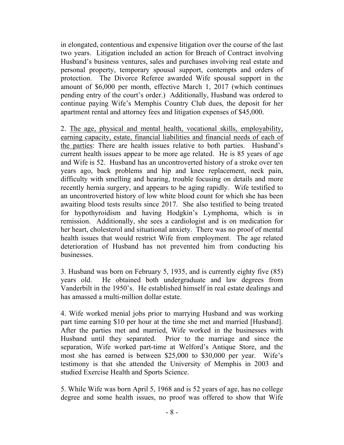in elongated, contentious and expensive litigation over the course of the last two years. Litigation included an action for Breach of Contract involving Husband's business ventures, sales and purchases involving real estate and personal property, temporary spousal support, contempts and orders of protection. The Divorce Referee awarded Wife spousal support in the amount of \$6,000 per month, effective March 1, 2017 (which continues pending entry of the court's order.) Additionally, Husband was ordered to continue paying Wife's Memphis Country Club dues, the deposit for her apartment rental and attorney fees and litigation expenses of \$45,000.

2. The age, physical and mental health, vocational skills, employability, earning capacity, estate, financial liabilities and financial needs of each of the parties: There are health issues relative to both parties. Husband's current health issues appear to be more age related. He is 85 years of age and Wife is 52. Husband has an uncontroverted history of a stroke over ten years ago, back problems and hip and knee replacement, neck pain, difficulty with smelling and hearing, trouble focusing on details and more recently hernia surgery, and appears to be aging rapidly. Wife testified to an uncontroverted history of low white blood count for which she has been awaiting blood tests results since 2017. She also testified to being treated for hypothyroidism and having Hodgkin's Lymphoma, which is in remission. Additionally, she sees a cardiologist and is on medication for her heart, cholesterol and situational anxiety. There was no proof of mental health issues that would restrict Wife from employment. The age related deterioration of Husband has not prevented him from conducting his businesses.

3. Husband was born on February 5, 1935, and is currently eighty five (85) years old. He obtained both undergraduate and law degrees from Vanderbilt in the 1950's. He established himself in real estate dealings and has amassed a multi-million dollar estate.

4. Wife worked menial jobs prior to marrying Husband and was working part time earning \$10 per hour at the time she met and married [Husband]. After the parties met and married, Wife worked in the businesses with Husband until they separated. Prior to the marriage and since the separation, Wife worked part-time at Welford's Antique Store, and the most she has earned is between \$25,000 to \$30,000 per year. Wife's testimony is that she attended the University of Memphis in 2003 and studied Exercise Health and Sports Science.

5. While Wife was born April 5, 1968 and is 52 years of age, has no college degree and some health issues, no proof was offered to show that Wife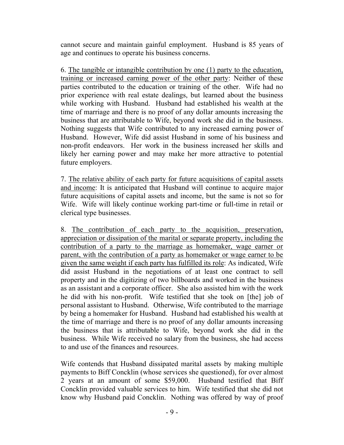cannot secure and maintain gainful employment. Husband is 85 years of age and continues to operate his business concerns.

6. The tangible or intangible contribution by one (1) party to the education, training or increased earning power of the other party: Neither of these parties contributed to the education or training of the other. Wife had no prior experience with real estate dealings, but learned about the business while working with Husband. Husband had established his wealth at the time of marriage and there is no proof of any dollar amounts increasing the business that are attributable to Wife, beyond work she did in the business. Nothing suggests that Wife contributed to any increased earning power of Husband. However, Wife did assist Husband in some of his business and non-profit endeavors. Her work in the business increased her skills and likely her earning power and may make her more attractive to potential future employers.

7. The relative ability of each party for future acquisitions of capital assets and income: It is anticipated that Husband will continue to acquire major future acquisitions of capital assets and income, but the same is not so for Wife. Wife will likely continue working part-time or full-time in retail or clerical type businesses.

8. The contribution of each party to the acquisition, preservation, appreciation or dissipation of the marital or separate property, including the contribution of a party to the marriage as homemaker, wage earner or parent, with the contribution of a party as homemaker or wage earner to be given the same weight if each party has fulfilled its role: As indicated, Wife did assist Husband in the negotiations of at least one contract to sell property and in the digitizing of two billboards and worked in the business as an assistant and a corporate officer. She also assisted him with the work he did with his non-profit. Wife testified that she took on [the] job of personal assistant to Husband. Otherwise, Wife contributed to the marriage by being a homemaker for Husband. Husband had established his wealth at the time of marriage and there is no proof of any dollar amounts increasing the business that is attributable to Wife, beyond work she did in the business. While Wife received no salary from the business, she had access to and use of the finances and resources.

Wife contends that Husband dissipated marital assets by making multiple payments to Biff Concklin (whose services she questioned), for over almost 2 years at an amount of some \$59,000. Husband testified that Biff Concklin provided valuable services to him. Wife testified that she did not know why Husband paid Concklin. Nothing was offered by way of proof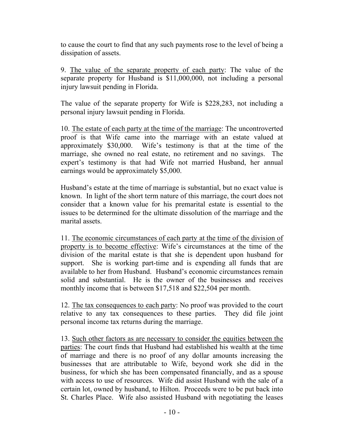to cause the court to find that any such payments rose to the level of being a dissipation of assets.

9. The value of the separate property of each party: The value of the separate property for Husband is \$11,000,000, not including a personal injury lawsuit pending in Florida.

The value of the separate property for Wife is \$228,283, not including a personal injury lawsuit pending in Florida.

10. The estate of each party at the time of the marriage: The uncontroverted proof is that Wife came into the marriage with an estate valued at approximately \$30,000. Wife's testimony is that at the time of the marriage, she owned no real estate, no retirement and no savings. The expert's testimony is that had Wife not married Husband, her annual earnings would be approximately \$5,000.

Husband's estate at the time of marriage is substantial, but no exact value is known. In light of the short term nature of this marriage, the court does not consider that a known value for his premarital estate is essential to the issues to be determined for the ultimate dissolution of the marriage and the marital assets.

11. The economic circumstances of each party at the time of the division of property is to become effective: Wife's circumstances at the time of the division of the marital estate is that she is dependent upon husband for support. She is working part-time and is expending all funds that are available to her from Husband. Husband's economic circumstances remain solid and substantial. He is the owner of the businesses and receives monthly income that is between \$17,518 and \$22,504 per month.

12. The tax consequences to each party: No proof was provided to the court relative to any tax consequences to these parties. They did file joint personal income tax returns during the marriage.

13. Such other factors as are necessary to consider the equities between the parties: The court finds that Husband had established his wealth at the time of marriage and there is no proof of any dollar amounts increasing the businesses that are attributable to Wife, beyond work she did in the business, for which she has been compensated financially, and as a spouse with access to use of resources. Wife did assist Husband with the sale of a certain lot, owned by husband, to Hilton. Proceeds were to be put back into St. Charles Place. Wife also assisted Husband with negotiating the leases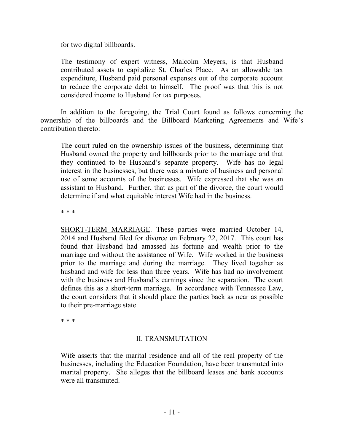for two digital billboards.

The testimony of expert witness, Malcolm Meyers, is that Husband contributed assets to capitalize St. Charles Place. As an allowable tax expenditure, Husband paid personal expenses out of the corporate account to reduce the corporate debt to himself. The proof was that this is not considered income to Husband for tax purposes.

In addition to the foregoing, the Trial Court found as follows concerning the ownership of the billboards and the Billboard Marketing Agreements and Wife's contribution thereto:

The court ruled on the ownership issues of the business, determining that Husband owned the property and billboards prior to the marriage and that they continued to be Husband's separate property. Wife has no legal interest in the businesses, but there was a mixture of business and personal use of some accounts of the businesses. Wife expressed that she was an assistant to Husband. Further, that as part of the divorce, the court would determine if and what equitable interest Wife had in the business.

\* \* \*

SHORT-TERM MARRIAGE. These parties were married October 14, 2014 and Husband filed for divorce on February 22, 2017. This court has found that Husband had amassed his fortune and wealth prior to the marriage and without the assistance of Wife. Wife worked in the business prior to the marriage and during the marriage. They lived together as husband and wife for less than three years. Wife has had no involvement with the business and Husband's earnings since the separation. The court defines this as a short-term marriage. In accordance with Tennessee Law, the court considers that it should place the parties back as near as possible to their pre-marriage state.

\* \* \*

## II. TRANSMUTATION

Wife asserts that the marital residence and all of the real property of the businesses, including the Education Foundation, have been transmuted into marital property. She alleges that the billboard leases and bank accounts were all transmuted.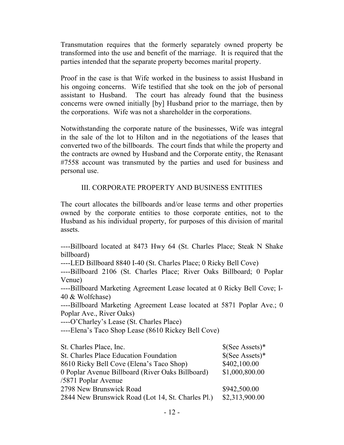Transmutation requires that the formerly separately owned property be transformed into the use and benefit of the marriage. It is required that the parties intended that the separate property becomes marital property.

Proof in the case is that Wife worked in the business to assist Husband in his ongoing concerns. Wife testified that she took on the job of personal assistant to Husband. The court has already found that the business concerns were owned initially [by] Husband prior to the marriage, then by the corporations. Wife was not a shareholder in the corporations.

Notwithstanding the corporate nature of the businesses, Wife was integral in the sale of the lot to Hilton and in the negotiations of the leases that converted two of the billboards. The court finds that while the property and the contracts are owned by Husband and the Corporate entity, the Renasant #7558 account was transmuted by the parties and used for business and personal use.

## III. CORPORATE PROPERTY AND BUSINESS ENTITIES

The court allocates the billboards and/or lease terms and other properties owned by the corporate entities to those corporate entities, not to the Husband as his individual property, for purposes of this division of marital assets.

----Billboard located at 8473 Hwy 64 (St. Charles Place; Steak N Shake billboard)

----LED Billboard 8840 I-40 (St. Charles Place; 0 Ricky Bell Cove)

----Billboard 2106 (St. Charles Place; River Oaks Billboard; 0 Poplar Venue)

----Billboard Marketing Agreement Lease located at 0 Ricky Bell Cove; I-40 & Wolfchase)

----Billboard Marketing Agreement Lease located at 5871 Poplar Ave.; 0 Poplar Ave., River Oaks)

----O'Charley's Lease (St. Charles Place)

----Elena's Taco Shop Lease (8610 Rickey Bell Cove)

| St. Charles Place, Inc.                           | $\S(See Assets)*$ |
|---------------------------------------------------|-------------------|
| St. Charles Place Education Foundation            | $\S(See Assets)*$ |
| 8610 Ricky Bell Cove (Elena's Taco Shop)          | \$402,100.00      |
| 0 Poplar Avenue Billboard (River Oaks Billboard)  | \$1,000,800.00    |
| /5871 Poplar Avenue                               |                   |
| 2798 New Brunswick Road                           | \$942,500.00      |
| 2844 New Brunswick Road (Lot 14, St. Charles Pl.) | \$2,313,900.00    |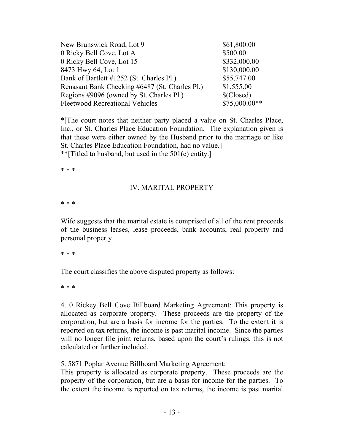| New Brunswick Road, Lot 9                      | \$61,800.00    |
|------------------------------------------------|----------------|
| 0 Ricky Bell Cove, Lot A                       | \$500.00       |
| 0 Ricky Bell Cove, Lot 15                      | \$332,000.00   |
| 8473 Hwy 64, Lot 1                             | \$130,000.00   |
| Bank of Bartlett #1252 (St. Charles Pl.)       | \$55,747.00    |
| Renasant Bank Checking #6487 (St. Charles Pl.) | \$1,555.00     |
| Regions #9096 (owned by St. Charles Pl.)       | \$(Closed)     |
| <b>Fleetwood Recreational Vehicles</b>         | $$75,000.00**$ |

\*[The court notes that neither party placed a value on St. Charles Place, Inc., or St. Charles Place Education Foundation. The explanation given is that these were either owned by the Husband prior to the marriage or like St. Charles Place Education Foundation, had no value.] \*\*[Titled to husband, but used in the 501(c) entity.]

\* \* \*

#### IV. MARITAL PROPERTY

\* \* \*

Wife suggests that the marital estate is comprised of all of the rent proceeds of the business leases, lease proceeds, bank accounts, real property and personal property.

\* \* \*

The court classifies the above disputed property as follows:

\* \* \*

4. 0 Rickey Bell Cove Billboard Marketing Agreement: This property is allocated as corporate property. These proceeds are the property of the corporation, but are a basis for income for the parties. To the extent it is reported on tax returns, the income is past marital income. Since the parties will no longer file joint returns, based upon the court's rulings, this is not calculated or further included.

5. 5871 Poplar Avenue Billboard Marketing Agreement:

This property is allocated as corporate property. These proceeds are the property of the corporation, but are a basis for income for the parties. To the extent the income is reported on tax returns, the income is past marital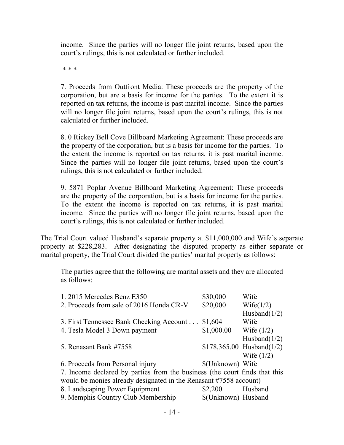income. Since the parties will no longer file joint returns, based upon the court's rulings, this is not calculated or further included.

\* \* \*

7. Proceeds from Outfront Media: These proceeds are the property of the corporation, but are a basis for income for the parties. To the extent it is reported on tax returns, the income is past marital income. Since the parties will no longer file joint returns, based upon the court's rulings, this is not calculated or further included.

8. 0 Rickey Bell Cove Billboard Marketing Agreement: These proceeds are the property of the corporation, but is a basis for income for the parties. To the extent the income is reported on tax returns, it is past marital income. Since the parties will no longer file joint returns, based upon the court's rulings, this is not calculated or further included.

9. 5871 Poplar Avenue Billboard Marketing Agreement: These proceeds are the property of the corporation, but is a basis for income for the parties. To the extent the income is reported on tax returns, it is past marital income. Since the parties will no longer file joint returns, based upon the court's rulings, this is not calculated or further included.

The Trial Court valued Husband's separate property at \$11,000,000 and Wife's separate property at \$228,283. After designating the disputed property as either separate or marital property, the Trial Court divided the parties' marital property as follows:

The parties agree that the following are marital assets and they are allocated as follows:

| 1.2015 Mercedes Benz E350<br>\$30,000                                      | Wife                       |  |  |
|----------------------------------------------------------------------------|----------------------------|--|--|
| \$20,000<br>2. Proceeds from sale of 2016 Honda CR-V                       | Wife $(1/2)$               |  |  |
|                                                                            | Husband $(1/2)$            |  |  |
| 3. First Tennessee Bank Checking Account<br>\$1,604                        | Wife                       |  |  |
| \$1,000.00<br>4. Tesla Model 3 Down payment                                | Wife $(1/2)$               |  |  |
|                                                                            | Husband $(1/2)$            |  |  |
| 5. Renasant Bank #7558                                                     | $$178,365.00$ Husband(1/2) |  |  |
|                                                                            | Wife $(1/2)$               |  |  |
| 6. Proceeds from Personal injury                                           | \$(Unknown) Wife           |  |  |
| 7. Income declared by parties from the business (the court finds that this |                            |  |  |
| would be monies already designated in the Renasant #7558 account)          |                            |  |  |
| 8. Landscaping Power Equipment<br>\$2,200                                  | Husband                    |  |  |
| 9. Memphis Country Club Membership                                         | \$(Unknown) Husband        |  |  |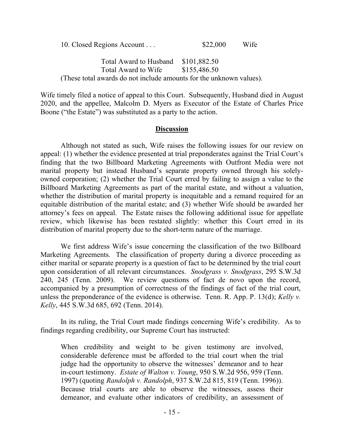10. Closed Regions Account . . . \$22,000 Wife

Total Award to Husband \$101,882.50 Total Award to Wife \$155,486.50 (These total awards do not include amounts for the unknown values).

Wife timely filed a notice of appeal to this Court. Subsequently, Husband died in August 2020, and the appellee, Malcolm D. Myers as Executor of the Estate of Charles Price Boone ("the Estate") was substituted as a party to the action.

#### **Discussion**

Although not stated as such, Wife raises the following issues for our review on appeal: (1) whether the evidence presented at trial preponderates against the Trial Court's finding that the two Billboard Marketing Agreements with Outfront Media were not marital property but instead Husband's separate property owned through his solelyowned corporation; (2) whether the Trial Court erred by failing to assign a value to the Billboard Marketing Agreements as part of the marital estate, and without a valuation, whether the distribution of marital property is inequitable and a remand required for an equitable distribution of the marital estate; and (3) whether Wife should be awarded her attorney's fees on appeal. The Estate raises the following additional issue for appellate review, which likewise has been restated slightly: whether this Court erred in its distribution of marital property due to the short-term nature of the marriage.

We first address Wife's issue concerning the classification of the two Billboard Marketing Agreements. The classification of property during a divorce proceeding as either marital or separate property is a question of fact to be determined by the trial court upon consideration of all relevant circumstances. *Snodgrass v. Snodgrass*, 295 S.W.3d 240, 245 (Tenn. 2009). We review questions of fact de novo upon the record, accompanied by a presumption of correctness of the findings of fact of the trial court, unless the preponderance of the evidence is otherwise. Tenn. R. App. P. 13(d); *Kelly v. Kelly*, 445 S.W.3d 685, 692 (Tenn. 2014).

In its ruling, the Trial Court made findings concerning Wife's credibility. As to findings regarding credibility, our Supreme Court has instructed:

When credibility and weight to be given testimony are involved, considerable deference must be afforded to the trial court when the trial judge had the opportunity to observe the witnesses' demeanor and to hear in-court testimony. *Estate of Walton v. Young*, 950 S.W.2d 956, 959 (Tenn. 1997) (quoting *Randolph v. Randolph*, 937 S.W.2d 815, 819 (Tenn. 1996)). Because trial courts are able to observe the witnesses, assess their demeanor, and evaluate other indicators of credibility, an assessment of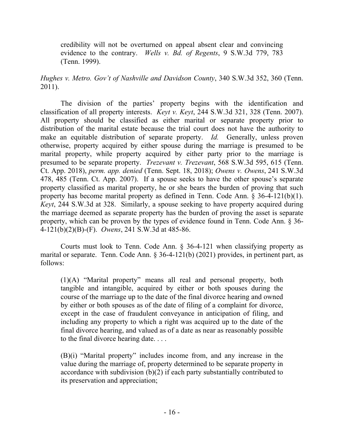credibility will not be overturned on appeal absent clear and convincing evidence to the contrary. *Wells v. Bd. of Regents*, 9 S.W.3d 779, 783 (Tenn. 1999).

*Hughes v. Metro. Gov't of Nashville and Davidson County*, 340 S.W.3d 352, 360 (Tenn. 2011).

The division of the parties' property begins with the identification and classification of all property interests. *Keyt v. Keyt*, 244 S.W.3d 321, 328 (Tenn. 2007). All property should be classified as either marital or separate property prior to distribution of the marital estate because the trial court does not have the authority to make an equitable distribution of separate property. *Id.* Generally, unless proven otherwise, property acquired by either spouse during the marriage is presumed to be marital property, while property acquired by either party prior to the marriage is presumed to be separate property. *Trezevant v. Trezevant*, 568 S.W.3d 595, 615 (Tenn. Ct. App. 2018), *perm. app. denied* (Tenn. Sept. 18, 2018); *Owens v. Owens*, 241 S.W.3d 478, 485 (Tenn. Ct. App. 2007). If a spouse seeks to have the other spouse's separate property classified as marital property, he or she bears the burden of proving that such property has become marital property as defined in Tenn. Code Ann. § 36-4-121(b)(1). *Keyt*, 244 S.W.3d at 328. Similarly, a spouse seeking to have property acquired during the marriage deemed as separate property has the burden of proving the asset is separate property, which can be proven by the types of evidence found in Tenn. Code Ann. § 36- 4-121(b)(2)(B)-(F). *Owens*, 241 S.W.3d at 485-86.

Courts must look to Tenn. Code Ann. § 36-4-121 when classifying property as marital or separate. Tenn. Code Ann. § 36-4-121(b) (2021) provides, in pertinent part, as follows:

(1)(A) "Marital property" means all real and personal property, both tangible and intangible, acquired by either or both spouses during the course of the marriage up to the date of the final divorce hearing and owned by either or both spouses as of the date of filing of a complaint for divorce, except in the case of fraudulent conveyance in anticipation of filing, and including any property to which a right was acquired up to the date of the final divorce hearing, and valued as of a date as near as reasonably possible to the final divorce hearing date. . . .

(B)(i) "Marital property" includes income from, and any increase in the value during the marriage of, property determined to be separate property in accordance with subdivision (b)(2) if each party substantially contributed to its preservation and appreciation;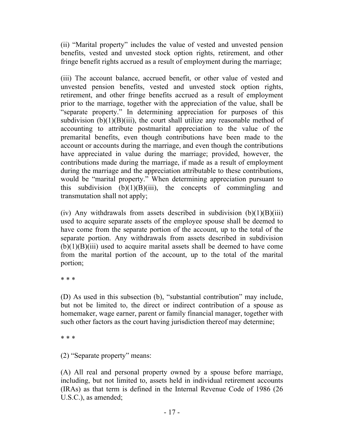(ii) "Marital property" includes the value of vested and unvested pension benefits, vested and unvested stock option rights, retirement, and other fringe benefit rights accrued as a result of employment during the marriage;

(iii) The account balance, accrued benefit, or other value of vested and unvested pension benefits, vested and unvested stock option rights, retirement, and other fringe benefits accrued as a result of employment prior to the marriage, together with the appreciation of the value, shall be "separate property." In determining appreciation for purposes of this subdivision  $(b)(1)(B)(iii)$ , the court shall utilize any reasonable method of accounting to attribute postmarital appreciation to the value of the premarital benefits, even though contributions have been made to the account or accounts during the marriage, and even though the contributions have appreciated in value during the marriage; provided, however, the contributions made during the marriage, if made as a result of employment during the marriage and the appreciation attributable to these contributions, would be "marital property." When determining appreciation pursuant to this subdivision  $(b)(1)(B)(iii)$ , the concepts of commingling and transmutation shall not apply;

(iv) Any withdrawals from assets described in subdivision  $(b)(1)(B)(iii)$ used to acquire separate assets of the employee spouse shall be deemed to have come from the separate portion of the account, up to the total of the separate portion. Any withdrawals from assets described in subdivision  $(b)(1)(B)(iii)$  used to acquire marital assets shall be deemed to have come from the marital portion of the account, up to the total of the marital portion;

\* \* \*

(D) As used in this subsection (b), "substantial contribution" may include, but not be limited to, the direct or indirect contribution of a spouse as homemaker, wage earner, parent or family financial manager, together with such other factors as the court having jurisdiction thereof may determine;

\* \* \*

(2) "Separate property" means:

(A) All real and personal property owned by a spouse before marriage, including, but not limited to, assets held in individual retirement accounts (IRAs) as that term is defined in the Internal Revenue Code of 1986 (26 U.S.C.), as amended;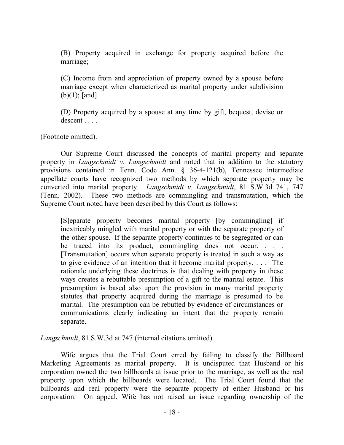(B) Property acquired in exchange for property acquired before the marriage;

(C) Income from and appreciation of property owned by a spouse before marriage except when characterized as marital property under subdivision (b)(1); [and]

(D) Property acquired by a spouse at any time by gift, bequest, devise or descent . . . .

(Footnote omitted).

Our Supreme Court discussed the concepts of marital property and separate property in *Langschmidt v. Langschmidt* and noted that in addition to the statutory provisions contained in Tenn. Code Ann. § 36-4-121(b), Tennessee intermediate appellate courts have recognized two methods by which separate property may be converted into marital property. *Langschmidt v. Langschmidt*, 81 S.W.3d 741, 747 (Tenn. 2002). These two methods are commingling and transmutation, which the Supreme Court noted have been described by this Court as follows:

[S]eparate property becomes marital property [by commingling] if inextricably mingled with marital property or with the separate property of the other spouse. If the separate property continues to be segregated or can be traced into its product, commingling does not occur. . . . [Transmutation] occurs when separate property is treated in such a way as to give evidence of an intention that it become marital property. . . . The rationale underlying these doctrines is that dealing with property in these ways creates a rebuttable presumption of a gift to the marital estate. This presumption is based also upon the provision in many marital property statutes that property acquired during the marriage is presumed to be marital. The presumption can be rebutted by evidence of circumstances or communications clearly indicating an intent that the property remain separate.

*Langschmidt*, 81 S.W.3d at 747 (internal citations omitted).

Wife argues that the Trial Court erred by failing to classify the Billboard Marketing Agreements as marital property. It is undisputed that Husband or his corporation owned the two billboards at issue prior to the marriage, as well as the real property upon which the billboards were located. The Trial Court found that the billboards and real property were the separate property of either Husband or his corporation. On appeal, Wife has not raised an issue regarding ownership of the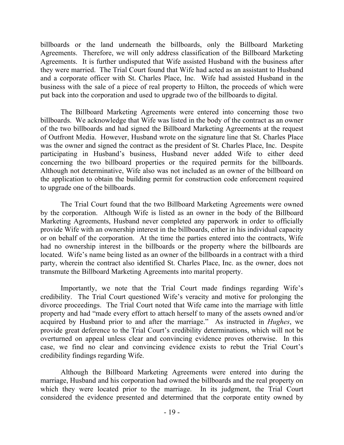billboards or the land underneath the billboards, only the Billboard Marketing Agreements. Therefore, we will only address classification of the Billboard Marketing Agreements. It is further undisputed that Wife assisted Husband with the business after they were married. The Trial Court found that Wife had acted as an assistant to Husband and a corporate officer with St. Charles Place, Inc. Wife had assisted Husband in the business with the sale of a piece of real property to Hilton, the proceeds of which were put back into the corporation and used to upgrade two of the billboards to digital.

The Billboard Marketing Agreements were entered into concerning those two billboards. We acknowledge that Wife was listed in the body of the contract as an owner of the two billboards and had signed the Billboard Marketing Agreements at the request of Outfront Media. However, Husband wrote on the signature line that St. Charles Place was the owner and signed the contract as the president of St. Charles Place, Inc. Despite participating in Husband's business, Husband never added Wife to either deed concerning the two billboard properties or the required permits for the billboards. Although not determinative, Wife also was not included as an owner of the billboard on the application to obtain the building permit for construction code enforcement required to upgrade one of the billboards.

The Trial Court found that the two Billboard Marketing Agreements were owned by the corporation. Although Wife is listed as an owner in the body of the Billboard Marketing Agreements, Husband never completed any paperwork in order to officially provide Wife with an ownership interest in the billboards, either in his individual capacity or on behalf of the corporation. At the time the parties entered into the contracts, Wife had no ownership interest in the billboards or the property where the billboards are located. Wife's name being listed as an owner of the billboards in a contract with a third party, wherein the contract also identified St. Charles Place, Inc. as the owner, does not transmute the Billboard Marketing Agreements into marital property.

Importantly, we note that the Trial Court made findings regarding Wife's credibility. The Trial Court questioned Wife's veracity and motive for prolonging the divorce proceedings. The Trial Court noted that Wife came into the marriage with little property and had "made every effort to attach herself to many of the assets owned and/or acquired by Husband prior to and after the marriage." As instructed in *Hughes*, we provide great deference to the Trial Court's credibility determinations, which will not be overturned on appeal unless clear and convincing evidence proves otherwise. In this case, we find no clear and convincing evidence exists to rebut the Trial Court's credibility findings regarding Wife.

Although the Billboard Marketing Agreements were entered into during the marriage, Husband and his corporation had owned the billboards and the real property on which they were located prior to the marriage. In its judgment, the Trial Court considered the evidence presented and determined that the corporate entity owned by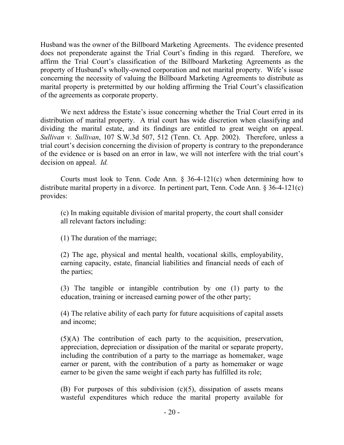Husband was the owner of the Billboard Marketing Agreements. The evidence presented does not preponderate against the Trial Court's finding in this regard. Therefore, we affirm the Trial Court's classification of the Billboard Marketing Agreements as the property of Husband's wholly-owned corporation and not marital property. Wife's issue concerning the necessity of valuing the Billboard Marketing Agreements to distribute as marital property is pretermitted by our holding affirming the Trial Court's classification of the agreements as corporate property.

We next address the Estate's issue concerning whether the Trial Court erred in its distribution of marital property. A trial court has wide discretion when classifying and dividing the marital estate, and its findings are entitled to great weight on appeal. *Sullivan v. Sullivan*, 107 S.W.3d 507, 512 (Tenn. Ct. App. 2002). Therefore, unless a trial court's decision concerning the division of property is contrary to the preponderance of the evidence or is based on an error in law, we will not interfere with the trial court's decision on appeal. *Id.*

Courts must look to Tenn. Code Ann.  $\S$  36-4-121(c) when determining how to distribute marital property in a divorce. In pertinent part, Tenn. Code Ann. § 36-4-121(c) provides:

(c) In making equitable division of marital property, the court shall consider all relevant factors including:

(1) The duration of the marriage;

(2) The age, physical and mental health, vocational skills, employability, earning capacity, estate, financial liabilities and financial needs of each of the parties;

(3) The tangible or intangible contribution by one (1) party to the education, training or increased earning power of the other party;

(4) The relative ability of each party for future acquisitions of capital assets and income;

(5)(A) The contribution of each party to the acquisition, preservation, appreciation, depreciation or dissipation of the marital or separate property, including the contribution of a party to the marriage as homemaker, wage earner or parent, with the contribution of a party as homemaker or wage earner to be given the same weight if each party has fulfilled its role;

(B) For purposes of this subdivision  $(c)(5)$ , dissipation of assets means wasteful expenditures which reduce the marital property available for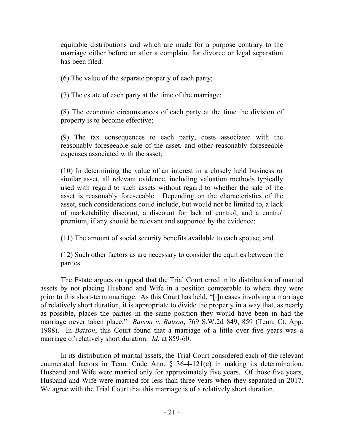equitable distributions and which are made for a purpose contrary to the marriage either before or after a complaint for divorce or legal separation has been filed.

(6) The value of the separate property of each party;

(7) The estate of each party at the time of the marriage;

(8) The economic circumstances of each party at the time the division of property is to become effective;

(9) The tax consequences to each party, costs associated with the reasonably foreseeable sale of the asset, and other reasonably foreseeable expenses associated with the asset;

(10) In determining the value of an interest in a closely held business or similar asset, all relevant evidence, including valuation methods typically used with regard to such assets without regard to whether the sale of the asset is reasonably foreseeable. Depending on the characteristics of the asset, such considerations could include, but would not be limited to, a lack of marketability discount, a discount for lack of control, and a control premium, if any should be relevant and supported by the evidence;

(11) The amount of social security benefits available to each spouse; and

(12) Such other factors as are necessary to consider the equities between the parties.

The Estate argues on appeal that the Trial Court erred in its distribution of marital assets by not placing Husband and Wife in a position comparable to where they were prior to this short-term marriage. As this Court has held, "[i]n cases involving a marriage of relatively short duration, it is appropriate to divide the property in a way that, as nearly as possible, places the parties in the same position they would have been in had the marriage never taken place." *Batson v. Batson*, 769 S.W.2d 849, 859 (Tenn. Ct. App. 1988). In *Batson*, this Court found that a marriage of a little over five years was a marriage of relatively short duration. *Id.* at 859-60.

In its distribution of marital assets, the Trial Court considered each of the relevant enumerated factors in Tenn. Code Ann. § 36-4-121(c) in making its determination. Husband and Wife were married only for approximately five years. Of those five years, Husband and Wife were married for less than three years when they separated in 2017. We agree with the Trial Court that this marriage is of a relatively short duration.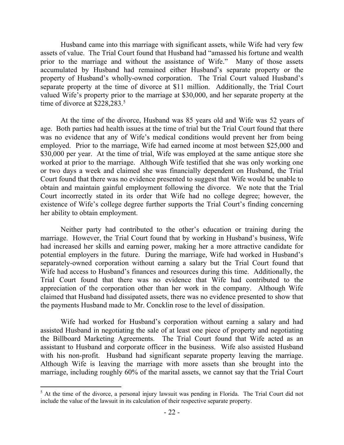Husband came into this marriage with significant assets, while Wife had very few assets of value. The Trial Court found that Husband had "amassed his fortune and wealth prior to the marriage and without the assistance of Wife." Many of those assets accumulated by Husband had remained either Husband's separate property or the property of Husband's wholly-owned corporation. The Trial Court valued Husband's separate property at the time of divorce at \$11 million. Additionally, the Trial Court valued Wife's property prior to the marriage at \$30,000, and her separate property at the time of divorce at \$228,283. 5

At the time of the divorce, Husband was 85 years old and Wife was 52 years of age. Both parties had health issues at the time of trial but the Trial Court found that there was no evidence that any of Wife's medical conditions would prevent her from being employed. Prior to the marriage, Wife had earned income at most between \$25,000 and \$30,000 per year. At the time of trial, Wife was employed at the same antique store she worked at prior to the marriage. Although Wife testified that she was only working one or two days a week and claimed she was financially dependent on Husband, the Trial Court found that there was no evidence presented to suggest that Wife would be unable to obtain and maintain gainful employment following the divorce. We note that the Trial Court incorrectly stated in its order that Wife had no college degree; however, the existence of Wife's college degree further supports the Trial Court's finding concerning her ability to obtain employment.

Neither party had contributed to the other's education or training during the marriage. However, the Trial Court found that by working in Husband's business, Wife had increased her skills and earning power, making her a more attractive candidate for potential employers in the future. During the marriage, Wife had worked in Husband's separately-owned corporation without earning a salary but the Trial Court found that Wife had access to Husband's finances and resources during this time. Additionally, the Trial Court found that there was no evidence that Wife had contributed to the appreciation of the corporation other than her work in the company. Although Wife claimed that Husband had dissipated assets, there was no evidence presented to show that the payments Husband made to Mr. Concklin rose to the level of dissipation.

Wife had worked for Husband's corporation without earning a salary and had assisted Husband in negotiating the sale of at least one piece of property and negotiating the Billboard Marketing Agreements. The Trial Court found that Wife acted as an assistant to Husband and corporate officer in the business. Wife also assisted Husband with his non-profit. Husband had significant separate property leaving the marriage. Although Wife is leaving the marriage with more assets than she brought into the marriage, including roughly 60% of the marital assets, we cannot say that the Trial Court

 $\overline{a}$ 

 $<sup>5</sup>$  At the time of the divorce, a personal injury lawsuit was pending in Florida. The Trial Court did not</sup> include the value of the lawsuit in its calculation of their respective separate property.